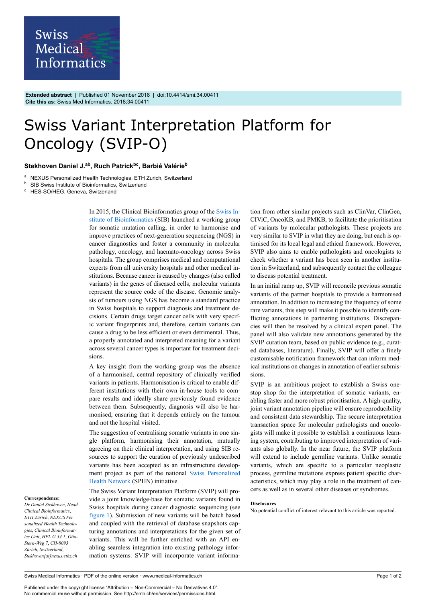

**Extended abstract** | Published 01 November 2018 | doi:10.4414/smi.34.00411 **Cite this as:** Swiss Med Informatics. 2018;34:00411

## Swiss Variant Interpretation Platform for Oncology (SVIP-O)

## **Stekhoven Daniel J.ab , Ruch Patrickbc , Barbié Valérie<sup>b</sup>**

<sup>a</sup> NEXUS Personalized Health Technologies, ETH Zurich, Switzerland

**b** SIB Swiss Institute of Bioinformatics, Switzerland

<sup>c</sup> HES-SO/HEG, Geneva, Switzerland

In 2015, the Clinical Bioinformatics group of the [Swiss In](https://www.sib.swiss/)[stitute of Bioinformatics](https://www.sib.swiss/) (SIB) launched a working group for somatic mutation calling, in order to harmonise and improve practices of next-generation sequencing (NGS) in cancer diagnostics and foster a community in molecular pathology, oncology, and haemato-oncology across Swiss hospitals. The group comprises medical and computational experts from all university hospitals and other medical institutions. Because cancer is caused by changes (also called variants) in the genes of diseased cells, molecular variants represent the source code of the disease. Genomic analysis of tumours using NGS has become a standard practice in Swiss hospitals to support diagnosis and treatment decisions. Certain drugs target cancer cells with very specific variant fingerprints and, therefore, certain variants can cause a drug to be less efficient or even detrimental. Thus, a properly annotated and interpreted meaning for a variant across several cancer types is important for treatment decisions.

A key insight from the working group was the absence of a harmonised, central repository of clinically verified variants in patients. Harmonisation is critical to enable different institutions with their own in-house tools to compare results and ideally share previously found evidence between them. Subsequently, diagnosis will also be harmonised, ensuring that it depends entirely on the tumour and not the hospital visited.

The suggestion of centralising somatic variants in one single platform, harmonising their annotation, mutually agreeing on their clinical interpretation, and using SIB resources to support the curation of previously undescribed variants has been accepted as an infrastructure development project as part of the national [Swiss Personalized](https://www.sphn.ch/en.html) [Health Network](https://www.sphn.ch/en.html) (SPHN) initiative.

**Correspondence:**

*Dr Daniel Stekhoven*, *Head Clinical Bioinformatics*, *ETH Zürich*, *NEXUS Personalized Health Technologies*, *Clinical Bioinformatics Unit*, *HPL G 34.1*, *Otto-Stern-Weg 7*, *CH-8093 Zürich*, *Switzerland*, *Stekhoven[at]nexus.ethz.ch* The Swiss Variant Interpretation Platform (SVIP) will provide a joint knowledge-base for somatic variants found in Swiss hospitals during cancer diagnostic sequencing (see [figure 1](#page-1-0)). Submission of new variants will be batch based and coupled with the retrieval of database snapshots capturing annotations and interpretations for the given set of variants. This will be further enriched with an API enabling seamless integration into existing pathology information systems. SVIP will incorporate variant information from other similar projects such as ClinVar, ClinGen, CIViC, OncoKB, and PMKB, to facilitate the prioritisation of variants by molecular pathologists. These projects are very similar to SVIP in what they are doing, but each is optimised for its local legal and ethical framework. However, SVIP also aims to enable pathologists and oncologists to check whether a variant has been seen in another institution in Switzerland, and subsequently contact the colleague to discuss potential treatment.

In an initial ramp up, SVIP will reconcile previous somatic variants of the partner hospitals to provide a harmonised annotation. In addition to increasing the frequency of some rare variants, this step will make it possible to identify conflicting annotations in partnering institutions. Discrepancies will then be resolved by a clinical expert panel. The panel will also validate new annotations generated by the SVIP curation team, based on public evidence (e.g., curated databases, literature). Finally, SVIP will offer a finely customisable notification framework that can inform medical institutions on changes in annotation of earlier submissions.

SVIP is an ambitious project to establish a Swiss onestop shop for the interpretation of somatic variants, enabling faster and more robust prioritisation. A high-quality, joint variant annotation pipeline will ensure reproducibility and consistent data stewardship. The secure interpretation transaction space for molecular pathologists and oncologists will make it possible to establish a continuous learning system, contributing to improved interpretation of variants also globally. In the near future, the SVIP platform will extend to include germline variants. Unlike somatic variants, which are specific to a particular neoplastic process, germline mutations express patient specific characteristics, which may play a role in the treatment of cancers as well as in several other diseases or syndromes.

## **Disclosures**

No potential conflict of interest relevant to this article was reported.

Published under the copyright license "Attribution – Non-Commercial – No Derivatives 4.0". No commercial reuse without permission. See http://emh.ch/en/services/permissions.html.